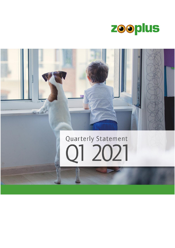

# 5000 Quarterly Statement 21 2021

 $E_{\rm A}$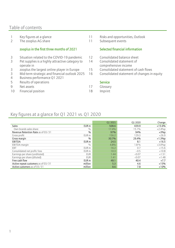## Table of contents

- 
- 2 The zooplus AG share 11 Subsequent events

#### zooplus in the first three months of 2021

- 3 Situation related to the COVID-19 pandemic 12 Consolidated balance sheet
- 3 Pet supplies is a highly attractive category to operate in
- 3 zooplus the largest online player in Europe
- 3 Mid-term strategic and financial outlook 2025
- 4 Business performance Q1 2021
- 5 Results of operations Service
- 9 Net assets 17 Glossary
- 10 Financial position 18 Imprint
- 1 Key figures at a glance 11 Risks and opportunities, Outlook
	-

#### Selected financial information

- 
- 14 Consolidated statement of comprehensive income
- 15 Consolidated statement of cash flows
- 16 Consolidated statement of changes in equity

- 
- 

# Key figures at a glance for Q1 2021 vs. Q1 2020

|                                     |                  | Q1 2021 | Q1 2020 | Change    |
|-------------------------------------|------------------|---------|---------|-----------|
| <b>Sales</b>                        | EUR <sub>m</sub> | 508.6   | 439.9   | $+15.6%$  |
| Own brands sales share              | $\frac{0}{0}$    | 17.4%   | 15.1%   | $+2.4\%p$ |
| Revenue Retention Rate as of 03/31  | $\frac{0}{0}$    | 97%     | 94%     | $+3%p$    |
| Gross profit                        | EUR <sub>m</sub> | 156.2   | 129.3   | $+26.9$   |
| Gross margin                        | $\%$             | 30.7%   | 29.4%   | $+1.3%p$  |
| <b>EBITDA</b>                       | EUR <sub>m</sub> | 24.5    | 8.1     | $+16.5$   |
| EBITDA margin                       | 0/0              | 4.8%    | $1.8\%$ | $+3.0\%p$ |
| EBT                                 | EUR <sub>m</sub> | 16.2    | 0.7     | $+15.6$   |
| Consolidated net profit/loss        | EUR <sub>m</sub> | 10.3    | $-0.5$  | $+10.8$   |
| Earnings per share (undiluted)      | <b>EUR</b>       | 1.44    | $-0.07$ | $+1.51$   |
| Earnings per share (diluted)        | <b>EUR</b>       | 1.41    | $-0.07$ | $+1.48$   |
| Free cash flow                      | EUR <sub>m</sub> | 48.1    | 40.4    | $+7.7$    |
| Active repeat customers as of 03/31 | million          | 5.3     | 4.6     | $+15%$    |
| Active customers as of 03/31        | million          | 8.6     | 7.8     | $+10%$    |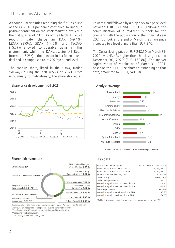## The zooplus AG share

Although uncertainties regarding the future course of the COVID-19 pandemic continued to linger, a positive sentiment on the stock market prevailed in the first quarter of 2021. As of the March 31, 2021 reporting date, the German DAX (+9.4%), MDAX (+3.0%), SDAX (+4.6%) and TecDAX (+5.7%) showed considerable gains in this environment, while the DAXsubsector All Retail Internet  $(-5.2\%)$  – the relevant index for zooplus – declined in comparison to its 2020 year-end level.

The zooplus share, listed in the SDAX, traded sideways during the first weeks of 2021. From mid-January to mid-February, the share showed an

Share price development Q1 2021 Analyst coverage



upward trend followed by a drop back to a price level between EUR 180 and EUR 190. Following the communication of a mid-term outlook for the company with the publication of the financial year 2021 outlook at the end of March, the share price increased to a level of more than EUR 240.

The Xetra closing price of EUR 243.50 on March 31, 2021, was 43.4% higher than the closing price on December 30, 2020 (EUR 169.80). The market capitalization of zooplus as of March 31, 2021, based on the 7,149,178 shares outstanding on that date, amounted to EUR 1,740.8 m.



 $\blacksquare$  Buy / Overweight  $\blacksquare$  Hold  $\blacksquare$  Sell / Underweight / Reduce

Shareholder structure Key data



As of March 24, 2021; Calculation based on a total number of voting rights of 7,149,178 Share ownership according to the published voting rights notifications \*Free float of 90.06 % according to the definition of Deutsche Börse

\*\* including equity instruments

\*\*\* including shares from trading book

| WKN / ISIN / Ticker symbol                 | 511170 / DE0005111702 / Z01 |
|--------------------------------------------|-----------------------------|
| Share capital in EUR, Dec. 31, 2020        | 7,149,178.00                |
| Share capital in EUR, Mar. 31, 2021        | 7,149,178.00                |
| Number of shares, Mar. 31, 2021            | 7,149,178                   |
| <b>Initial listing</b>                     | May 9, 2008                 |
| Initial issue price in EUR*                | 13.00                       |
| Xetra closing price, Dec. 30, 2020, in EUR | 169.80                      |
| Xetra closing price, Mar. 31, 2021, in EUR | 243.50                      |
| Percentage change                          | $+43.4%$                    |
| Xetra closing price high for period in EUR | 243.50                      |
| Xetra closing price low for period in EUR  | 164.80                      |

\*Taking into account capital increase from company resources in July 2011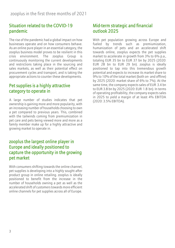# Situation related to the COVID-19 pandemic

The rise of the pandemic had a global impact on how businesses operate and on how consumers behave. As an online pure player in an essential category, the zooplus business model proves to be resilient in this crisis environment. The zooplus Group is continuously monitoring the current developments and restrictions taking place in the sourcing and sales markets, as well as their potential effect on procurement cycles and transport, and is taking the appropriate actions to counter these developments.

# Pet supplies is a highly attractive category to operate in

A large number of studies indicates that pet ownership is gaining more and more popularity, with an increasing number of households choosing to own a pet compared to previous years. This, combined with the tailwinds coming from premiumization in pet care and pets being viewed more and more as a family member make up for a highly attractive and growing market to operate in.

## zooplus the largest online player in Europe and ideally positioned to capture the opportunity in the growing pet market

With consumers shifting towards the online channel. pet supplies is developing into a highly sought-after product group in online retailing. zooplus is ideally positioned to benefit from the increase in the number of households owning a pet as well as the accelerated shift of customers towards more efficient online channels for pet supplies across all of Europe.

# Mid-term strategic and financial outlook 2025

With pet population growing across Europe and fueled by trends such as premiumization, humanization of pets and an accelerated shift towards online, zooplus expects the pet supplies market to accelerate in growth from 3% to 6% p.a., totaling EUR 35 bn to EUR 37 bn by 2025 (2020: EUR 28 bn to EUR 29 bn). zooplus is ideally positioned to tap into this tremendous growth potential and expects to increase its market share to 9% to 10% of the total market (both on- and offline) by 2025 (2020: market share of 6% to 7%). At the same time, the company expects sales of EUR 3.4 bn to EUR 3.8 bn by 2025 (2020: EUR 1.8 bn). In terms of operating profitability, the company expects sales in 2025 to yield a margin of at least 4% EBITDA (2020: 3.5% EBITDA).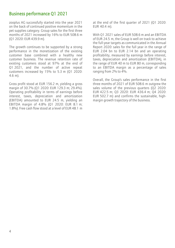# Business performance Q1 2021

zooplus AG successfully started into the year 2021 on the back of continued positive momentum in the pet supplies category. Group sales for the first three months of 2021 increased by 16% to EUR 508.6 m (Q1 2020: EUR 439.9 m).

The growth continues to be supported by a strong performance in the monetization of the existing customer base combined with a healthy new customer business. The revenue retention rate of existing customers stood at 97% at the end of Q1 2021, and the number of active repeat customers increased by 15% to 5.3 m (Q1 2020: 4.6 m).

Gross profit stood at EUR 156.2 m, yielding a gross margin of 30.7% (Q1 2020: EUR 129.3 m; 29.4%). Operating profitability in terms of earnings before interest, taxes, depreciation and amortization (EBITDA) amounted to EUR 24.5 m, yielding an EBITDA margin of 4.8% (Q1 2020: EUR 8.1 m; 1.8%). Free cash flow stood at a level of EUR 48.1 m at the end of the first quarter of 2021 (Q1 2020: EUR 40.4 m).

With Q1 2021 sales of EUR 508.6 m and an EBITDA of EUR 24.5 m, the Group is well on track to achieve the full-year targets as communicated in the Annual Report 2020: sales for the full year in the range of EUR 2.04 bn to EUR 2.14 bn and an operating profitability, measured by earnings before interest, taxes, depreciation and amortization (EBITDA), in the range of EUR 40 m to EUR 80 m, corresponding to an EBITDA margin as a percentage of sales ranging from 2% to 4%.

Overall, the Group's sales performance in the first three months of 2021 of EUR 508.6 m outgrew the sales volume of the previous quarters (Q2 2020: EUR 422.5 m; Q3 2020: EUR 436.4 m; Q4 2020: EUR 502.7 m) and confirms the sustainable, highmargin growth trajectory of the business.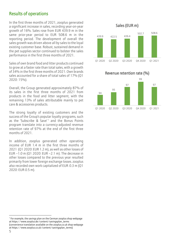# Results of operations

In the first three months of 2021, zooplus generated a significant increase in sales, recording year-on-year growth of 16%. Sales rose from EUR 439.9 m in the same prior-year period to EUR 508.6 m in the reporting period. The development of overall the sales growth was driven above all by sales to the loyal existing customer base. Robust, sustained demand in the pet supplies sector continued to bolster the sales performance in the first three months of 2021.

Sales of own brand food and litter products continued to grow at a faster rate than total sales, with a growth of 34% in the first three months of 2021. Own brands sales accounted for a share of total sales of 17% (Q1 2020: 15%).

Overall, the Group generated approximately 87% of its sales in the first three months of 2021 from products in the food and litter segment, with the remaining 13% of sales attributable mainly to pet care & accessories products.

The strong loyalty of existing customers and the success of the Group's popular loyalty programs, such as the 'Subscribe & Save'<sup>1</sup> and the Bonus Points program translate into a currency-adjusted revenue retention rate of 97% at the end of the first three months of 2021.

In addition, zooplus generated other operating income of EUR 1.4 m in the first three months of 2021 (Q1 2020: EUR 1.2 m), as well as other losses of EUR –1.0 m (Q1 2020: EUR –2.1 m). The decrease in other losses compared to the previous year resulted primarily from lower foreign exchange losses. zooplus also recorded own work capitalized of EUR 0.3 m (Q1 2020: EUR 0.5 m).





#### Sales (EUR m)

<sup>1</sup> For example, the savings plan on the German zooplus shop webpage at https://www.zooplus.de/content/savingsplan\_terms (convenience translation available on the zooplus.co.uk shop webpage at https://www.zooplus.co.uk/content/savingsplan\_terms)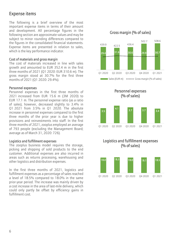# Expense items

The following is a brief overview of the most important expense items in terms of their amount and development. All percentage figures in the following section are approximate values and may be subject to minor rounding differences compared to the figures in the consolidated financial statements. Expense items are presented in relation to sales, which is the key performance indicator.

#### Cost of materials and gross margin

The cost of materials increased in line with sales growth and amounted to EUR 352.4 m in the first three months of 2021 (Q1 2020: EUR 310.6 m). The gross margin stood at 30.7% for the first three months of 2021 (Q1 2020: 29.4%).

#### Personnel expenses

Personnel expenses in the first three months of 2021 increased from EUR 15.6 m (3M 2020) to EUR 17.1 m. The personnel expense ratio (as a ratio of sales), however, decreased slightly to 3.4% in Q1 2021 from 3.5% in Q1 2020. The absolute increase in personnel expenses compared to the first three months of the prior year is due to higher provisions and reinvestments into staff. In the first three months of 2021, zooplus employed an average of 793 people (excluding the Management Board; average as of March 31, 2020: 726).

#### Logistics and fulfillment expenses

The zooplus business model requires the storage, picking and shipping of sold products to the end customer. Additional expenses are also incurred in areas such as returns processing, warehousing and other logistics and distribution expenses.

In the first three months of 2021, logistics and fulfillment expenses as a percentage of sales reached a level of 18.5% compared to 18.0% in the same prior-year period. The increase was mainly driven by a cost increase in the area of last-mile delivery, which could only partly be offset by efficiency gains in fulfillment cost.







#### Gross margin (% of sales)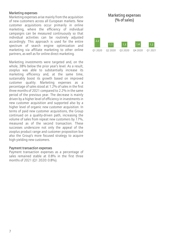#### Marketing expenses

Marketing expenses arise mainly from the acquisition of new customers across all European markets. New customer acquisitions occur primarily in online marketing, where the efficiency of individual campaigns can be measured continuously so that individual activities can be routinely adjusted accordingly. This approach is used for the entire spectrum of search engine optimization and marketing via affiliate marketing to other online partners, as well as for online direct marketing.

Marketing investments were targeted and, on the whole, 38% below the prior year's level. As a result, zooplus was able to substantially increase its marketing efficiency and, at the same time, sustainably boost its growth based on improved customer quality. Marketing expenses as a percentage of sales stood at 1.2% of sales in the first three months of 2021 compared to 2.2% in the same period of the previous year. The decrease is mainly driven by a higher level of efficiency in investments in new customer acquisition and supported also by a higher level of organic new customer acquisition. In terms of paid new customer acquisitions, the Group continued on a quality-driven path, increasing the volume of sales from repeat new customers by 17%, measured as of the second transaction. These successes underscore not only the appeal of the zooplus product range and customer proposition but also the Group's more focused strategy to acquire high-yielding new customers.

#### Payment transaction expenses

Payment transaction expenses as a percentage of sales remained stable at 0.8% in the first three months of 2021 (Q1 2020: 0.8%).

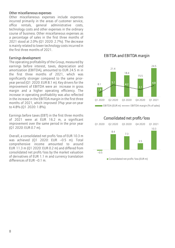#### Other miscellaneous expenses

Other miscellaneous expenses include expenses incurred primarily in the areas of customer service, office rentals, general administrative costs, technology costs and other expenses in the ordinary course of business. Other miscellaneous expenses as a percentage of sales in the first three months of 2021 stood at 2.0% (Q1 2020: 2.7%). The decrease is mainly related to lower technology costs incurred in the first three months of 2021.

#### Earnings development

The operating profitability of the Group, measured by earnings before interest, taxes, depreciation and amortization (EBITDA), amounted to EUR 24.5 m in the first three months of 2021, which was significantly stronger compared to the same prioryear period (Q1 2020: EUR 8.1 m). Key drivers for the improvement of EBITDA were an increase in gross margin and a higher operating efficiency. The increase in operating profitability was also reflected in the increase in the EBITDA margin in the first three months of 2021, which improved 3%p year-on-year to 4.8% (Q1 2020: 1.8%).

Earnings before taxes (EBT) in the first three months of 2021 were at EUR 16.2 m, a significant improvement over the same period in the prior year (Q1 2020: EUR 0.7 m).

Overall, a consolidated net profit/loss of EUR 10.3 m was achieved (Q1 2020: EUR –0.5 m). Total comprehensive income amounted to around EUR 11.3 m (Q1 2020: EUR 0.2 m) and differed from consolidated net profit/loss by the market valuation of derivatives of EUR 1.1 m and currency translation differences of EUR –0.1 m.

#### EBITDA and EBITDA margin



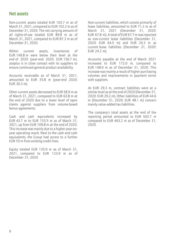#### Net assets

Non-current assets totaled EUR 103.7 m as of March 31, 2021, compared to EUR 102.2 m as of December 31, 2020. The net carrying amount of all rights-of-use totaled EUR 89.8 m as of March 31, 2021, compared to EUR 87.3 m as of December 31, 2020.

Within current assets inventories of EUR 149.8 m were below their level at the end of 2020 (year-end 2020: EUR 156.7 m). zooplus is in close contact with its suppliers to ensure continued general product availability.

Accounts receivable as of March 31, 2021, amounted to EUR 35.8 m (year-end 2020: EUR 30.3 m).

Other current assets decreased to EUR 58.9 m as of March 31, 2021, compared to EUR 63.8 m at the end of 2020 due to a lower level of open claims against suppliers from volume-based bonus agreements.

Cash and cash equivalents increased by EUR 43.7 m to EUR 153.5 m as of March 31, 2021, up from EUR 109.8 m at the end of 2020. This increase was mainly due to a higher year-onyear operating result. Next to the cash and cash equivalents, the Group had access to a further EUR 70 m from existing credit lines.

Equity totaled EUR 135.9 m as of March 31, 2021, compared to EUR 123.9 m as of December 31, 2020.

Non-current liabilities, which consist primarily of lease liabilities, amounted to EUR 71.2 m as of March 31, 2021 (December 31, 2020: EUR 67.8 m). A total of EUR 67.7 m was reported as non-current lease liabilities (December 31, 2020: EUR 64.5 m) and EUR 24.3 m as current lease liabilities (December 31, 2020: EUR 24.2 m).

Accounts payable at the end of March 2021 increased to EUR 172.0 m, compared to EUR 148.9 m as of December 31, 2020. This increase was mainly a result of higher purchasing volumes and improvements in payment terms with suppliers.

At EUR 29.3 m, contract liabilities were at a similar level as at the end of 2020 (December 31, 2020: EUR 29.2 m). Other liabilities of EUR 44.6 m (December 31, 2020: EUR 48.1 m) concern mainly value-added tax liabilities.

The company's total assets at the end of the reporting period amounted to EUR 503.7 m compared to EUR 463.2 m as of December 31, 2020.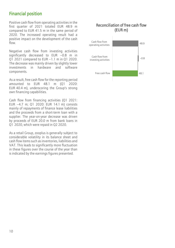# Financial position

Positive cash flow from operating activities in the first quarter of 2021 totaled EUR 48.9 m compared to EUR 41.5 m in the same period of 2020. The increased operating result had a positive impact on the development of the cash flow.

Negative cash flow from investing activities significantly decreased to EUR –0.8 m in Q1 2021 compared to EUR –1.1 m in Q1 2020. The decrease was mainly driven by slightly lower investments in hardware and software components.

As a result, free cash flow for the reporting period amounted to EUR 48.1 m (Q1 2020: EUR 40.4 m), underscoring the Group's strong own financing capabilities.

Cash flow from financing activities (Q1 2021: EUR –4.7 m; Q1 2020: EUR 14.1 m) consists mainly of repayments of finance lease liabilities and the proceeds from a short-term loan with a supplier. The year-on-year decrease was driven by proceeds of EUR 20.0 m from bank loans in Q1 2020, which were repaid in Q2 2020.

As a retail Group, zooplus is generally subject to considerable volatility in its balance sheet and cash flow items such as inventories, liabilities and VAT. This leads to significantly more fluctuation in these figures over the course of the year than is indicated by the earnings figures presented.

#### Reconciliation of free cash flow (EUR m)

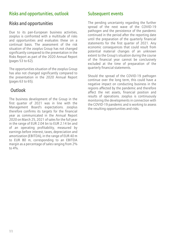# Risks and opportunities, outlook

# Risks and opportunities

Due to its pan-European business activities, zooplus is confronted with a multitude of risks and opportunities and evaluates these on a continual basis. The assessment of the risk situation of the zooplus Group has not changed significantly compared to the presentation in the Risks Report as part of the 2020 Annual Report (pages 53 to 62).

The opportunities situation of the zooplus Group has also not changed significantly compared to the presentation in the 2020 Annual Report (pages 63 to 65).

# **Outlook**

The business development of the Group in the first quarter of 2021 was in line with the Management Board's expectations. zooplus therefore confirms its targets for the financial year as communicated in the Annual Report 2020 on March 25, 2021 of sales for the full year in the range of EUR 2.04 bn to EUR 2.14 bn and of an operating profitability, measured by earnings before interest, taxes, depreciation and amortization (EBITDA), in the range of EUR 40 m to EUR 80 m, corresponding to an EBITDA margin as a percentage of sales ranging from 2% to  $4\frac{0}{6}$ 

# Subsequent events

The pending uncertainty regarding the further spread of the next wave of the COVID-19 pathogen and the persistence of the pandemic continued in the period after the reporting date until the preparation of the quarterly financial statements for the first quarter of 2021. Any economic consequences that could result from potential material changes of an unknown extent to the Group's situation during the course of the financial year cannot be conclusively excluded at the time of preparation of the quarterly financial statements.

Should the spread of the COVID-19 pathogen continue over the long term, this could have a negative impact on conducting business in the regions affected by the pandemic and therefore affect the net assets, financial position and results of operations. zooplus is continuously monitoring the developments in connection with the COVID-19 pandemic and is working to assess the resulting opportunities and risks.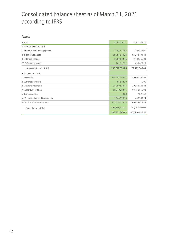# Consolidated balance sheet as of March 31, 2021 according to IFRS

#### Assets

| in EUR                               | 31/03/2021     | 31/12/2020     |
|--------------------------------------|----------------|----------------|
| A. NON-CURRENT ASSETS                |                |                |
| I. Property, plant and equipment     | 7,197,455.64   | 7,298,757.91   |
| II. Right-of-use assets              | 89,754,819.24  | 87,252,701.44  |
| III. Intangible assets               | 6,504,863.46   | 7,182,258.89   |
| IV. Deferred tax assets              | 262,957.52     | 433,622.19     |
| Non-current assets, total            | 103,720,095.86 | 102,167,340.43 |
| <b>B. CURRENT ASSETS</b>             |                |                |
| I. Inventories                       | 149,782,369.87 | 156,690,256.94 |
| II. Advance payments                 | 83,872.30      | 0.00           |
| III. Accounts receivable             | 35,799,629.46  | 30,276,744.88  |
| IV. Other current assets             | 58,940,263.45  | 63,758,816.98  |
| V. Tax receivables                   | 0.00           | 2,870.58       |
| VI. Derivative financial instruments | 1,844,920.15   | 499,993.24     |
| VII. Cash and cash equivalents       | 153,514,718.54 | 109,814,413.45 |
| Current assets, total                | 399,965,773.77 | 361,043,096.07 |
|                                      | 503,685,869.63 | 463,210,436.50 |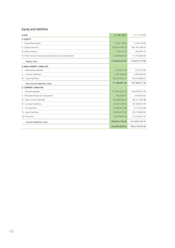## Equity and liabilities

| in EUR                                                         | 31/03/2021     | 31/12/2020       |
|----------------------------------------------------------------|----------------|------------------|
| A. EQUITY                                                      |                |                  |
| I. Subscribed capital                                          | 7,149,178.00   | 7,149,178.00     |
| II. Capital reserves                                           | 105,814,700.25 | 105, 181, 458.03 |
| III. Other reserves                                            | 799,735.70     | $-182,694.74$    |
| IV. Profit/loss for the period and profit/loss carried forward | 22,090,633.87  | 11,774,836.55    |
| Equity, total                                                  | 135,854,247.82 | 123,922,777.84   |
| <b>B. NON-CURRENT LIABILITIES</b>                              |                |                  |
| Deferred tax liabilities                                       | 1,224,971.56   | 973,522.50       |
| II. Contract liabilities                                       | 2,287,699.87   | 2,287,699.87     |
| III. Lease liabilities                                         | 67,675,810.12  | 64,523,689.02    |
| Non-current liabilities, total                                 | 71,188,481.55  | 67,784,911.39    |
| <b>C. CURRENT LIABILITIES</b>                                  |                |                  |
| Accounts payable<br>I.                                         | 172,002,563.18 | 148,938,673.76   |
| II. Derivative financial instruments                           | 403,387.83     | 619,814.62       |
| III. Other current liabilities                                 | 44,588,706.52  | 48,141,582.88    |
| IV. Contract liabilities                                       | 29,347,218.37  | 29,180,957.99    |
| V. Tax liabilities                                             | 13,003,627.88  | 7,172,942.06     |
| VI. Lease liabilities                                          | 24,260,972.30  | 24,174,900.62    |
| <b>VII. Provisions</b>                                         | 13,036,664.18  | 13,273,875.34    |
| Current liabilities, total                                     | 296,643,140.26 | 271,502,747.27   |
|                                                                | 503,685,869.63 | 463,210,436.50   |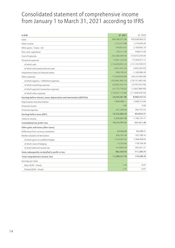# Consolidated statement of comprehensive income from January 1 to March 31, 2021 according to IFRS

| in EUR                                                                  | Q1 2021              | Q1 2020              |
|-------------------------------------------------------------------------|----------------------|----------------------|
| Sales                                                                   | 508,586,077.68       | 439,938,964.22       |
| Other income                                                            | 1,372,317.88         | 1,210,036.45         |
| Other gains / losses - net                                              | -979,813.02          | $-2,100,902.10$      |
| Own work capitalized                                                    | 276,211.00           | 548,615.00           |
| Cost of materials                                                       | -352,383,487.94      | -310,610,295.94      |
| Personnel expenses                                                      | $-17,061,334.44$     | $-15,594,915.12$     |
| of which cash                                                           | $(-16, 428, 092.22)$ | $(-15, 129, 709.57)$ |
| of which stock-based and non-cash                                       | $(-633, 242.22)$     | $(-465, 205.55)$     |
| Impairment losses on financial assets                                   | $-956,763.42$        | $-1,100,086.30$      |
| Other expenses                                                          | -114,309,645.88      | $-104,223,063.68$    |
| of which logistics / fulfillment expenses                               | $(-93,983,369.73)$   | $(-79, 157, 483.56)$ |
| of which marketing expenses                                             | $(-6,095,324.14)$    | $(-9, 793, 553.59)$  |
| of which payment transaction expenses                                   | $(-4, 175, 779.02)$  | $(-3,602,986.99)$    |
| of which other expenses                                                 | $(-10,055,172.99)$   | $(-11,669,039.54)$   |
| Earnings before interest, taxes, depreciation and amortization (EBITDA) | 24,543,561.86        | 8,068,352.53         |
| Depreciation and amortization                                           | $-7,896,488.11$      | -7,048,774.69        |
| Financial income                                                        | 1.85                 | 0.00                 |
| Financial expenses                                                      | $-421,390.40$        | $-364,753.53$        |
| Earnings before taxes (EBT)                                             | 16,225,685.20        | 654,824.31           |
| Taxes on income                                                         | -5,909,887.88        | $-1,186,735.77$      |
| Consolidated net profit/loss                                            | 10,315,797.32        | $-531,911.46$        |
| Other gains and losses (after taxes)                                    |                      |                      |
| Differences from currency translation                                   | $-64,066.88$         | $-86,488.41$         |
| Market valuation of derivatives                                         | 830,797.49           | 797,798.16           |
| of which gains on cashflow hedges                                       | 1,574,497.54         | 1,368,408.65         |
| of which costs of hedging                                               | $-13,353.84$         | $-178,109.28$        |
| of which deferred income tax                                            | $-514,856.38$        | $-392,501.21$        |
| Items subsequently reclassified to profit or loss                       | 982,430.44           | 711,309.75           |
| Total comprehensive income/loss                                         | 11,298,227.76        | 179,398.29           |
| Earnings per share                                                      |                      |                      |
| Basic (EUR / share)                                                     | 1.44                 | $-0.07$              |
| Diluted (EUR / share)                                                   | 1.41                 | $-0.07$              |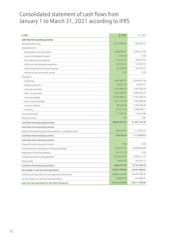# Consolidated statement of cash flows from January 1 to March 31, 2021 according to IFRS

| in EUR                                                              | Q1 2021         | Q1 2020           |
|---------------------------------------------------------------------|-----------------|-------------------|
| Cash flows from operating activities                                |                 |                   |
| Earnings before taxes                                               | 16,225,685.20   | 654,824.31        |
| Adjustments for:                                                    |                 |                   |
| Depreciation and amortization                                       | 7,896,488.11    | 7,048,774.69      |
| Loss on the disposal of assets                                      | 2,947.00        | 0.00              |
| Non-cash personnel expenses                                         | 633,242.22      | 465,205.55        |
| Other non-cash business transactions                                | $-192,018.13$   | 129,952.57        |
| Interest expenses and similar expenses                              | 421,390.40      | 364,753.53        |
| Interest income and similar income                                  | $-1.85$         | 0.00              |
| Changes in:                                                         |                 |                   |
| Inventories                                                         | 6,907,887.07    | 15,099,561.60     |
| Advance payments                                                    | $-83,872.30$    | $-24,287.37$      |
| Accounts receivable                                                 | $-5,522,884.58$ | $-1,950,582.64$   |
| Other current assets                                                | 2,656,385.91    | $-6,584,420.23$   |
| Accounts payable                                                    | 23,063,889.42   | 17,561,996.74     |
| Other current liabilities                                           | $-2,911,103.20$ | 2,564,699.38      |
| Contract liabilities                                                | 166,260.38      | 3,706,768.46      |
| Provisions                                                          | $-237,211.16$   | 2,586,459.11      |
| Income taxes paid                                                   | $-171,160.72$   | $-156,523.80$     |
| Interest received                                                   | 1.85            | 0.00              |
| Cash flows from operating activities                                | 48,855,925.61   | 41,467,181.90     |
| Cash flows from investing activities                                |                 |                   |
| Payments for property, plant and equipment $\ell$ intangible assets | -758,790.54     | $-1, 113, 659.53$ |
| Cash flows from investing activities                                | -758,790.54     | $-1, 113, 659.53$ |
| Cash flows from financing activities                                |                 |                   |
| Proceeds from the issuance of shares                                | 0.00            | 0.00              |
| Proceeds from the assumption of financial liabilities               | 2,162,167.62    | 20,000,000.00     |
| Repayment of financial liabilities                                  | $-641,773.16$   | 0.00              |
| Principal elements of lease payments                                | $-6,230,376.82$ | $-5,604,751.23$   |
| Interest paid                                                       | 44,305.30       | -292,782.17       |
| Cash flows from financing activities                                | $-4,665,677.05$ | 14,102,466.60     |
| Net change of cash and cash equivalents                             | 43,431,458.02   | 54,455.988.97     |
| Cash and cash equivalents at the beginning of the period            | 109,814,413.45  | 64,293,396.36     |
| Currency effects on cash and cash equivalents                       | 268,847.07      | -431,886.47       |
| Cash and cash equivalents at the end of the period                  | 153,514,718.54  | 118,317,498.86    |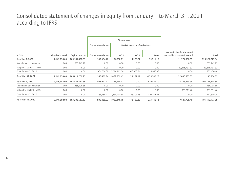# Consolidated statement of changes in equity from January 1 to March 31, 2021 according to IFRS

|                             |                    |                  | Other reserves       |                                 |               |               |                                                                   |                |
|-----------------------------|--------------------|------------------|----------------------|---------------------------------|---------------|---------------|-------------------------------------------------------------------|----------------|
|                             |                    |                  | Currency translation | Market valuation of derivatives |               |               |                                                                   |                |
| in EUR                      | Subscribed capital | Capital reserves | Currency translation | OCI <sub>1</sub>                | OCI II        | Taxes         | Net profit/loss for the period<br>and profit/loss carried forward | Total          |
| As of Jan. 1, 2021          | 7,149,178.00       | 105,181,458.03   | $-102,384.46$        | $-104,898.11$                   | $-14,923.27$  | 39,511.10     | 11,774,836.55                                                     | 123,922,777.84 |
| Share-based compensation    | 0.00               | 633,242.22       | 0.00                 | 0.00                            | 0.00          | 0.00          | 0.00                                                              | 633,242.22     |
| Net profit/loss for Q1 2021 | 0.00               | 0.00             | 0.00                 | 0.00                            | 0.00          | 0.00          | 10,315,797.32                                                     | 10,315,797.32  |
| Other income Q1 2021        | 0.00               | 0.00             | $-64,066.88$         | 1,574,707.54                    | $-13,353.84$  | $-514,856.38$ | 0.00                                                              | 982,430.44     |
| As of Mar. 31, 2021         | 7,149,178.00       | 105,814,700.25   | $-166,451.34$        | 1,469,809.43                    | $-28,277.11$  | $-475,345.28$ | 22,090,633.87                                                     | 135,854.82     |
| As of Jan. 1, 2020          | 7,146,688.00       | 102,827,311.58   | $-1,803,942.42$      | $-361,968.47$                   | 0.00          | 119,359.10    | $-7,155,873.94$                                                   | 100,771,573.85 |
| Share-based compensation    | 0.00               | 465,205.55       | 0.00                 | 0.00                            | 0.00          | 0.00          | 0.00                                                              | 465,205.55     |
| Net profit/loss for Q1 2020 | 0.00               | 0.00             | 0.00                 | 0.00                            | 0.00          | 0.00          | $-531,911.46$                                                     | $-531,911.46$  |
| Other income Q1 2020        | 0.00               | 0.00             | $-86,488.41$         | 1,368,408.65                    | $-178,109.28$ | $-392,501.21$ | 0.00                                                              | 711,309.75     |
| As of Mar. 31, 2020         | 7,146,688.00       | 103,292,517.13   | $-1,890,430.83$      | 1,006,440.18                    | $-178,109.28$ | $-273,142.11$ | $-7,687,785.40$                                                   | 101,416,177.69 |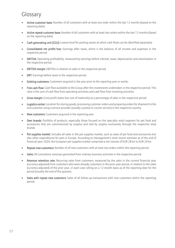# Glossary

- Active customer base: Number of all customers with at least one order within the last 12 months (based on the reporting date).
- Active repeat customer base: Number of all customers with at least two orders within the last 12 months (based on the reporting date).
- Cash generating unit (CGU): Lowest level for pooling assets at which cash flows can be identified separately.
- Consolidated net profit/loss: Earnings after taxes, which is the balance of all income and expenses in the respective period.
- EBITDA: Operating profitability, measured by earnings before interest, taxes, depreciation and amortization in the respective period.
- EBITDA margin: EBITDA in relation to sales in the respective period.
- EBT: Earnings before taxes in the respective period.
- Existing customers: Customers acquired in the year prior to the reporting year or earlier.
- Free cash flow: Cash flow available to the Group after the investments undertaken in the respective period. This ratio is the sum of cash flow from operating activities and cash flow from investing activities.
- Gross margin: Gross profit (sales less cost of materials) as a percentage of sales in the respective period.
- Logistics center: Location for storing goods, processing customer orders and preparing orders for shipment to the end customer using a service provider (usually a postal or courier service) in the respective country.
- New customers: Customers acquired in the reporting year.
- Own brands: Portfolio of products, especially those focused on the specialty retail segment for pet food and accessories that are commissioned by zooplus and sold by zooplus exclusively through the respective shop brands.
- Pet supplies market: Includes all sales in the pet supplies market, such as sales of pet food and accessories but also other expenditures for pets in Europe. According to management's most recent estimate as of the end of financial year 2020, the European pet supplies market comprised a net volume of EUR 28 bn to EUR 29 bn.
- Repeat new customers: Number of all new customers with at least two orders within the reporting period.
- Sales: All cumulative revenues generated from ordinary business activities in the respective period.
- Revenue retention rate: Recurring sales from customers, measured by the sales in the current financial year (currency-adjusted) from customers who were already customers in the prior-year period, in relation to the sales (currency-adjusted) of the prior year, in each case rolling on a 12-month basis as of the reporting date for the period (usually the end of the quarter).
- Sales with repeat new customers: Sales of all follow-up transactions with new customers within the reporting period.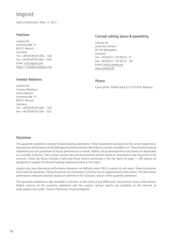# Imprint

Date of publication: May 12, 2021

#### Publisher

zooplus AG Sonnenstraße 15 80331 Munich Germany Tel.: +49 (0) 89 95 006 – 100 Fax: +49 (0) 89 95 006 – 500 Email: [ir@zooplus.com](mailto:ir@zooplus.com) [https://investors.zooplus.com](https://investors.zooplus.com/)

#### Investor Relations

#### Concept, editing, layout & typesetting

cometis AG Unter den Eichen 7 65195 Wiesbaden Germany Tel.: +49 (0) 611 20 58 55 – 0 Fax: +49 (0) 611 20 58 55 – 66 Email[: info@cometis.de](mailto:info@cometis.de) [www.cometis.de](http://www.cometis.de/)

#### Photos

Cover photo: Adobe Stock (273225554, Masson)

zooplus AG Investor Relations Diana Apostol Sonnenstraße 15 80331 Munich Germany Tel.: +49 (0) 89 95 006 – 100 Fax: +49 (0) 89 95 006 – 503

#### Disclaimer

This quarterly statement contains forward-looking statements. These statements are based on the current experience, assumptions and forecasts of the Management Board and the information currently available to it. These forward-looking statements are not guarantees of future performance or results. Rather, future developments and results are dependent on a number of factors. They involve various risks and uncertainties and are based on assumptions that may prove to be incorrect. These risk factors include in particular those factors mentioned in the risk report on page 11. We assume no obligation to update the forward-looking statements made in this report.

zooplus also uses alternative performance measures not defined under IFRS to explain its net assets, financial position and results of operations. These should not be considered in isolation but as supplementary information. The alternative performance measures used by zooplus are defined in the "Glossary" section of this quarterly statement.

This quarterly statement is also available in German. In the event of any differences, the German version shall prevail. Digital versions of this quarterly statement and the zooplus' annual reports are available on the internet at www.zooplus.com under "Investor Relations/Financial Reports".